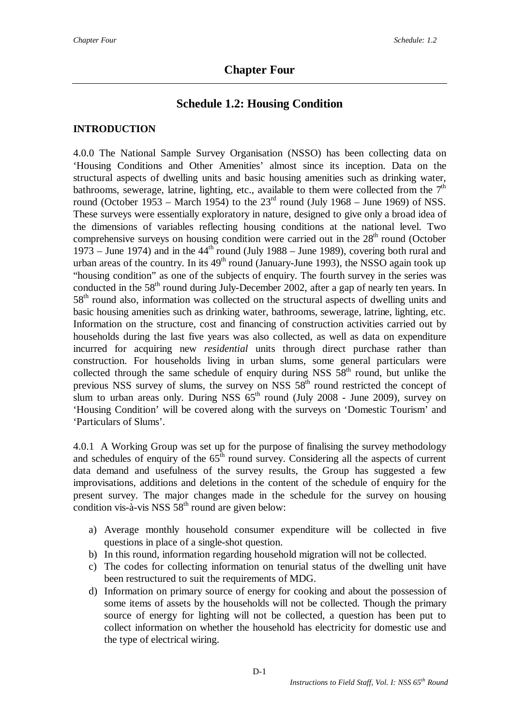# **Schedule 1.2: Housing Condition**

### **INTRODUCTION**

4.0.0 The National Sample Survey Organisation (NSSO) has been collecting data on 'Housing Conditions and Other Amenities' almost since its inception. Data on the structural aspects of dwelling units and basic housing amenities such as drinking water, bathrooms, sewerage, latrine, lighting, etc., available to them were collected from the  $7<sup>th</sup>$ round (October 1953 – March 1954) to the  $23<sup>rd</sup>$  round (July 1968 – June 1969) of NSS. These surveys were essentially exploratory in nature, designed to give only a broad idea of the dimensions of variables reflecting housing conditions at the national level. Two comprehensive surveys on housing condition were carried out in the  $28<sup>th</sup>$  round (October 1973 – June 1974) and in the  $44<sup>th</sup>$  round (July 1988 – June 1989), covering both rural and urban areas of the country. In its  $49<sup>th</sup>$  round (January-June 1993), the NSSO again took up "housing condition" as one of the subjects of enquiry. The fourth survey in the series was conducted in the  $58<sup>th</sup>$  round during July-December 2002, after a gap of nearly ten years. In 58<sup>th</sup> round also, information was collected on the structural aspects of dwelling units and basic housing amenities such as drinking water, bathrooms, sewerage, latrine, lighting, etc. Information on the structure, cost and financing of construction activities carried out by households during the last five years was also collected, as well as data on expenditure incurred for acquiring new *residential* units through direct purchase rather than construction. For households living in urban slums, some general particulars were collected through the same schedule of enquiry during NSS  $58<sup>th</sup>$  round, but unlike the previous NSS survey of slums, the survey on NSS  $58<sup>th</sup>$  round restricted the concept of slum to urban areas only. During NSS  $65<sup>th</sup>$  round (July 2008 - June 2009), survey on 'Housing Condition' will be covered along with the surveys on 'Domestic Tourism' and 'Particulars of Slums'.

4.0.1 A Working Group was set up for the purpose of finalising the survey methodology and schedules of enquiry of the  $65<sup>th</sup>$  round survey. Considering all the aspects of current data demand and usefulness of the survey results, the Group has suggested a few improvisations, additions and deletions in the content of the schedule of enquiry for the present survey. The major changes made in the schedule for the survey on housing condition vis-à-vis NSS  $58<sup>th</sup>$  round are given below:

- a) Average monthly household consumer expenditure will be collected in five questions in place of a single-shot question.
- b) In this round, information regarding household migration will not be collected.
- c) The codes for collecting information on tenurial status of the dwelling unit have been restructured to suit the requirements of MDG.
- d) Information on primary source of energy for cooking and about the possession of some items of assets by the households will not be collected. Though the primary source of energy for lighting will not be collected, a question has been put to collect information on whether the household has electricity for domestic use and the type of electrical wiring.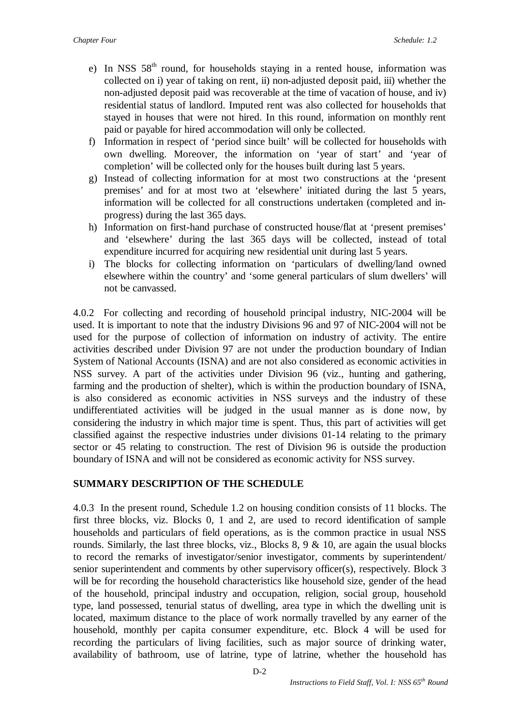- e) In NSS  $58<sup>th</sup>$  round, for households staying in a rented house, information was collected on i) year of taking on rent, ii) non-adjusted deposit paid, iii) whether the non-adjusted deposit paid was recoverable at the time of vacation of house, and iv) residential status of landlord. Imputed rent was also collected for households that stayed in houses that were not hired. In this round, information on monthly rent paid or payable for hired accommodation will only be collected.
- f) Information in respect of 'period since built' will be collected for households with own dwelling. Moreover, the information on 'year of start' and 'year of completion' will be collected only for the houses built during last 5 years.
- g) Instead of collecting information for at most two constructions at the 'present premises' and for at most two at 'elsewhere' initiated during the last 5 years, information will be collected for all constructions undertaken (completed and inprogress) during the last 365 days.
- h) Information on first-hand purchase of constructed house/flat at 'present premises' and 'elsewhere' during the last 365 days will be collected, instead of total expenditure incurred for acquiring new residential unit during last 5 years.
- i) The blocks for collecting information on 'particulars of dwelling/land owned elsewhere within the country' and 'some general particulars of slum dwellers' will not be canvassed.

4.0.2 For collecting and recording of household principal industry, NIC-2004 will be used. It is important to note that the industry Divisions 96 and 97 of NIC-2004 will not be used for the purpose of collection of information on industry of activity. The entire activities described under Division 97 are not under the production boundary of Indian System of National Accounts (ISNA) and are not also considered as economic activities in NSS survey. A part of the activities under Division 96 (viz., hunting and gathering, farming and the production of shelter), which is within the production boundary of ISNA, is also considered as economic activities in NSS surveys and the industry of these undifferentiated activities will be judged in the usual manner as is done now, by considering the industry in which major time is spent. Thus, this part of activities will get classified against the respective industries under divisions 01-14 relating to the primary sector or 45 relating to construction. The rest of Division 96 is outside the production boundary of ISNA and will not be considered as economic activity for NSS survey.

### **SUMMARY DESCRIPTION OF THE SCHEDULE**

4.0.3 In the present round, Schedule 1.2 on housing condition consists of 11 blocks. The first three blocks, viz. Blocks 0, 1 and 2, are used to record identification of sample households and particulars of field operations, as is the common practice in usual NSS rounds. Similarly, the last three blocks, viz., Blocks  $8, 9 \& 10$ , are again the usual blocks to record the remarks of investigator/senior investigator, comments by superintendent/ senior superintendent and comments by other supervisory officer(s), respectively. Block 3 will be for recording the household characteristics like household size, gender of the head of the household, principal industry and occupation, religion, social group, household type, land possessed, tenurial status of dwelling, area type in which the dwelling unit is located, maximum distance to the place of work normally travelled by any earner of the household, monthly per capita consumer expenditure, etc. Block 4 will be used for recording the particulars of living facilities, such as major source of drinking water, availability of bathroom, use of latrine, type of latrine, whether the household has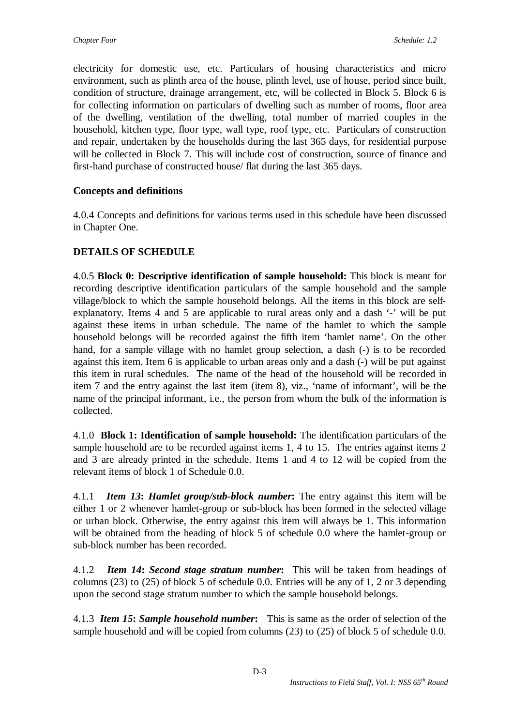electricity for domestic use, etc. Particulars of housing characteristics and micro environment, such as plinth area of the house, plinth level, use of house, period since built, condition of structure, drainage arrangement, etc, will be collected in Block 5. Block 6 is for collecting information on particulars of dwelling such as number of rooms, floor area of the dwelling, ventilation of the dwelling, total number of married couples in the household, kitchen type, floor type, wall type, roof type, etc. Particulars of construction and repair, undertaken by the households during the last 365 days, for residential purpose will be collected in Block 7. This will include cost of construction, source of finance and first-hand purchase of constructed house/ flat during the last 365 days.

### **Concepts and definitions**

4.0.4 Concepts and definitions for various terms used in this schedule have been discussed in Chapter One.

## **DETAILS OF SCHEDULE**

4.0.5 **Block 0: Descriptive identification of sample household:** This block is meant for recording descriptive identification particulars of the sample household and the sample village/block to which the sample household belongs. All the items in this block are selfexplanatory. Items 4 and 5 are applicable to rural areas only and a dash '-' will be put against these items in urban schedule. The name of the hamlet to which the sample household belongs will be recorded against the fifth item 'hamlet name'. On the other hand, for a sample village with no hamlet group selection, a dash (-) is to be recorded against this item. Item 6 is applicable to urban areas only and a dash (-) will be put against this item in rural schedules. The name of the head of the household will be recorded in item 7 and the entry against the last item (item 8), viz., 'name of informant', will be the name of the principal informant, i.e., the person from whom the bulk of the information is collected.

4.1.0 **Block 1: Identification of sample household:** The identification particulars of the sample household are to be recorded against items 1, 4 to 15. The entries against items 2 and 3 are already printed in the schedule. Items 1 and 4 to 12 will be copied from the relevant items of block 1 of Schedule 0.0.

4.1.1*Item 13***:** *Hamlet group/sub-block number***:** The entry against this item will be either 1 or 2 whenever hamlet-group or sub-block has been formed in the selected village or urban block. Otherwise, the entry against this item will always be 1. This information will be obtained from the heading of block 5 of schedule 0.0 where the hamlet-group or sub-block number has been recorded.

4.1.2*Item 14***:** *Second stage stratum number***:** This will be taken from headings of columns (23) to (25) of block 5 of schedule 0.0. Entries will be any of 1, 2 or 3 depending upon the second stage stratum number to which the sample household belongs.

4.1.3 *Item 15***:** *Sample household number***:** This is same as the order of selection of the sample household and will be copied from columns (23) to (25) of block 5 of schedule 0.0.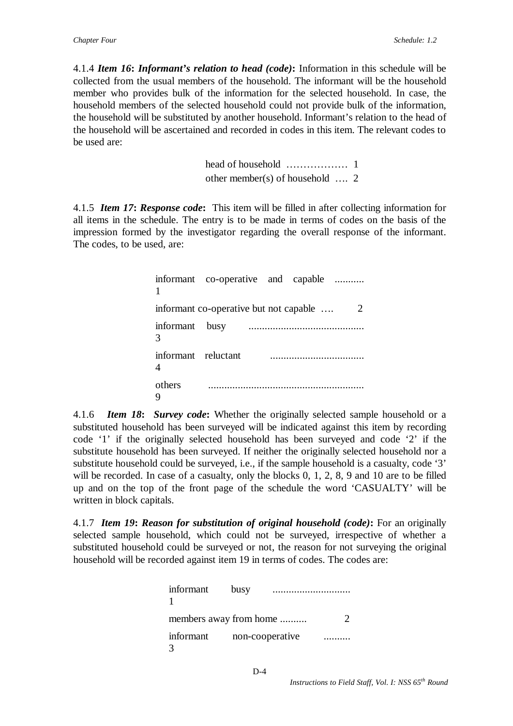4.1.4 *Item 16***:** *Informant's relation to head (code)***:** Information in this schedule will be collected from the usual members of the household. The informant will be the household member who provides bulk of the information for the selected household. In case, the household members of the selected household could not provide bulk of the information, the household will be substituted by another household. Informant's relation to the head of the household will be ascertained and recorded in codes in this item. The relevant codes to be used are:

> head of household ……………… 1 other member(s) of household …. 2

4.1.5*Item 17***:** *Response code***:** This item will be filled in after collecting information for all items in the schedule. The entry is to be made in terms of codes on the basis of the impression formed by the investigator regarding the overall response of the informant. The codes, to be used, are:

|                     | informant co-operative and capable     |  |               |
|---------------------|----------------------------------------|--|---------------|
|                     | informant co-operative but not capable |  | $\mathcal{L}$ |
| informant busy<br>3 |                                        |  |               |
| informant reluctant |                                        |  |               |
| others              |                                        |  |               |

4.1.6*Item 18***:** *Survey code***:** Whether the originally selected sample household or a substituted household has been surveyed will be indicated against this item by recording code '1' if the originally selected household has been surveyed and code '2' if the substitute household has been surveyed. If neither the originally selected household nor a substitute household could be surveyed, i.e., if the sample household is a casualty, code '3' will be recorded. In case of a casualty, only the blocks 0, 1, 2, 8, 9 and 10 are to be filled up and on the top of the front page of the schedule the word 'CASUALTY' will be written in block capitals.

4.1.7 *Item 19***:** *Reason for substitution of original household (code)***:** For an originally selected sample household, which could not be surveyed, irrespective of whether a substituted household could be surveyed or not, the reason for not surveying the original household will be recorded against item 19 in terms of codes. The codes are:

| informant                      | busy |  |
|--------------------------------|------|--|
| members away from home         |      |  |
| informant non-cooperative<br>3 |      |  |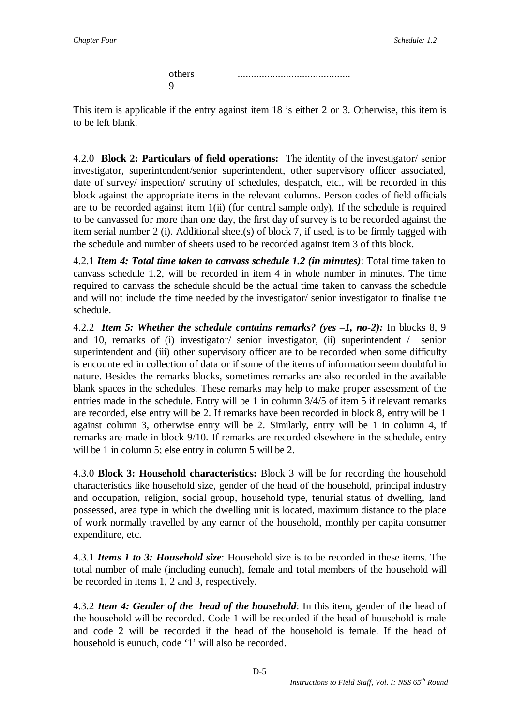others .......................................... 9

This item is applicable if the entry against item 18 is either 2 or 3. Otherwise, this item is to be left blank.

4.2.0 **Block 2: Particulars of field operations:** The identity of the investigator/ senior investigator, superintendent/senior superintendent, other supervisory officer associated, date of survey/ inspection/ scrutiny of schedules, despatch, etc., will be recorded in this block against the appropriate items in the relevant columns. Person codes of field officials are to be recorded against item 1(ii) (for central sample only). If the schedule is required to be canvassed for more than one day, the first day of survey is to be recorded against the item serial number 2 (i). Additional sheet(s) of block 7, if used, is to be firmly tagged with the schedule and number of sheets used to be recorded against item 3 of this block.

4.2.1 *Item 4: Total time taken to canvass schedule 1.2 (in minutes)*: Total time taken to canvass schedule 1.2, will be recorded in item 4 in whole number in minutes. The time required to canvass the schedule should be the actual time taken to canvass the schedule and will not include the time needed by the investigator/ senior investigator to finalise the schedule.

4.2.2 *Item 5: Whether the schedule contains remarks? (yes –1, no-2):* In blocks 8, 9 and 10, remarks of (i) investigator/ senior investigator, (ii) superintendent / senior superintendent and (iii) other supervisory officer are to be recorded when some difficulty is encountered in collection of data or if some of the items of information seem doubtful in nature. Besides the remarks blocks, sometimes remarks are also recorded in the available blank spaces in the schedules. These remarks may help to make proper assessment of the entries made in the schedule. Entry will be 1 in column 3/4/5 of item 5 if relevant remarks are recorded, else entry will be 2. If remarks have been recorded in block 8, entry will be 1 against column 3, otherwise entry will be 2. Similarly, entry will be 1 in column 4, if remarks are made in block 9/10. If remarks are recorded elsewhere in the schedule, entry will be 1 in column 5; else entry in column 5 will be 2.

4.3.0 **Block 3: Household characteristics:** Block 3 will be for recording the household characteristics like household size, gender of the head of the household, principal industry and occupation, religion, social group, household type, tenurial status of dwelling, land possessed, area type in which the dwelling unit is located, maximum distance to the place of work normally travelled by any earner of the household, monthly per capita consumer expenditure, etc.

4.3.1 *Items 1 to 3: Household size*: Household size is to be recorded in these items. The total number of male (including eunuch), female and total members of the household will be recorded in items 1, 2 and 3, respectively.

4.3.2 *Item 4: Gender of the head of the household*: In this item, gender of the head of the household will be recorded. Code 1 will be recorded if the head of household is male and code 2 will be recorded if the head of the household is female. If the head of household is eunuch, code '1' will also be recorded.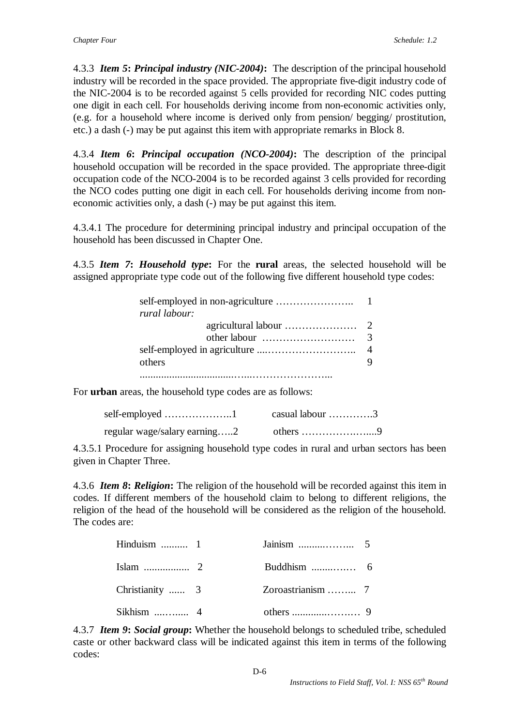4.3.3 *Item 5***:** *Principal industry (NIC-2004)***:** The description of the principal household industry will be recorded in the space provided. The appropriate five-digit industry code of the NIC-2004 is to be recorded against 5 cells provided for recording NIC codes putting one digit in each cell. For households deriving income from non-economic activities only, (e.g. for a household where income is derived only from pension/ begging/ prostitution, etc.) a dash (-) may be put against this item with appropriate remarks in Block 8.

4.3.4 *Item 6***:** *Principal occupation (NCO-2004)***:** The description of the principal household occupation will be recorded in the space provided. The appropriate three-digit occupation code of the NCO-2004 is to be recorded against 3 cells provided for recording the NCO codes putting one digit in each cell. For households deriving income from noneconomic activities only, a dash (-) may be put against this item.

4.3.4.1 The procedure for determining principal industry and principal occupation of the household has been discussed in Chapter One.

4.3.5 *Item 7***:** *Household type***:** For the **rural** areas, the selected household will be assigned appropriate type code out of the following five different household type codes:

| rural labour:                                              |  |
|------------------------------------------------------------|--|
|                                                            |  |
| other labour $\dots \dots \dots \dots \dots \dots \dots$ 3 |  |
|                                                            |  |
| others                                                     |  |
|                                                            |  |

For **urban** areas, the household type codes are as follows:

| self-employed $\dots\dots\dots\dots\dots\dots\dots$ | casual labour $\dots \dots \dots \dots$      |
|-----------------------------------------------------|----------------------------------------------|
| regular wage/salary earning2                        | others $\dots \dots \dots \dots \dots \dots$ |

4.3.5.1 Procedure for assigning household type codes in rural and urban sectors has been given in Chapter Three.

4.3.6 *Item 8***:** *Religion***:** The religion of the household will be recorded against this item in codes. If different members of the household claim to belong to different religions, the religion of the head of the household will be considered as the religion of the household. The codes are:

| Hinduism $\dots \dots \dots 1$ |  |  |
|--------------------------------|--|--|
|                                |  |  |
| Christianity  3                |  |  |
| Sikhism $\ldots$ 4             |  |  |

4.3.7 *Item 9***:** *Social group***:** Whether the household belongs to scheduled tribe, scheduled caste or other backward class will be indicated against this item in terms of the following codes: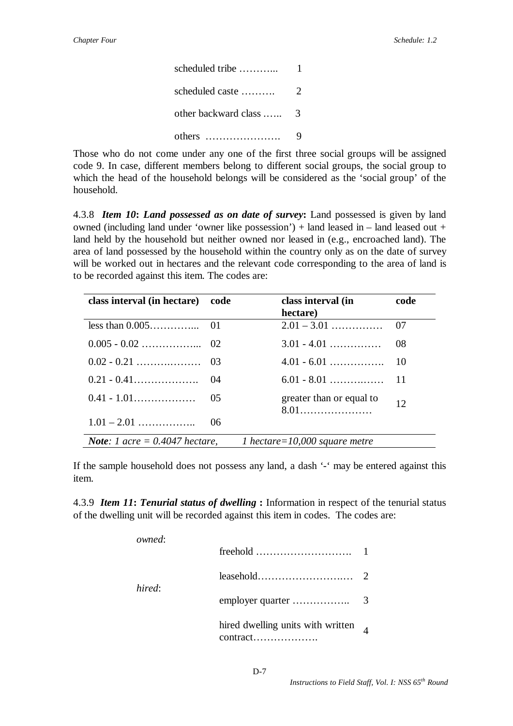| scheduled tribe         |   |
|-------------------------|---|
| scheduled caste         | 2 |
| other backward class  3 |   |
| others                  |   |

Those who do not come under any one of the first three social groups will be assigned code 9. In case, different members belong to different social groups, the social group to which the head of the household belongs will be considered as the 'social group' of the household.

4.3.8 *Item 10***:** *Land possessed as on date of survey***:** Land possessed is given by land owned (including land under 'owner like possession') + land leased in – land leased out + land held by the household but neither owned nor leased in (e.g., encroached land). The area of land possessed by the household within the country only as on the date of survey will be worked out in hectares and the relevant code corresponding to the area of land is to be recorded against this item. The codes are:

| class interval (in hectare)             | code | class interval (in<br>hectare) | code |
|-----------------------------------------|------|--------------------------------|------|
|                                         |      |                                |      |
|                                         |      | $3.01 - 4.01$                  | - 08 |
|                                         |      |                                |      |
|                                         |      |                                |      |
|                                         |      | greater than or equal to       | 12   |
| $1.01 - 2.01$                           | 06   |                                |      |
| <b>Note:</b> 1 acre = $0.4047$ hectare, |      | 1 hectare=10,000 square metre  |      |

If the sample household does not possess any land, a dash '-' may be entered against this item.

4.3.9 *Item 11***:** *Tenurial status of dwelling* **:** Information in respect of the tenurial status of the dwelling unit will be recorded against this item in codes. The codes are:

|  | owned: |                                            |  |
|--|--------|--------------------------------------------|--|
|  |        |                                            |  |
|  |        |                                            |  |
|  | hired: |                                            |  |
|  |        | hired dwelling units with written $\alpha$ |  |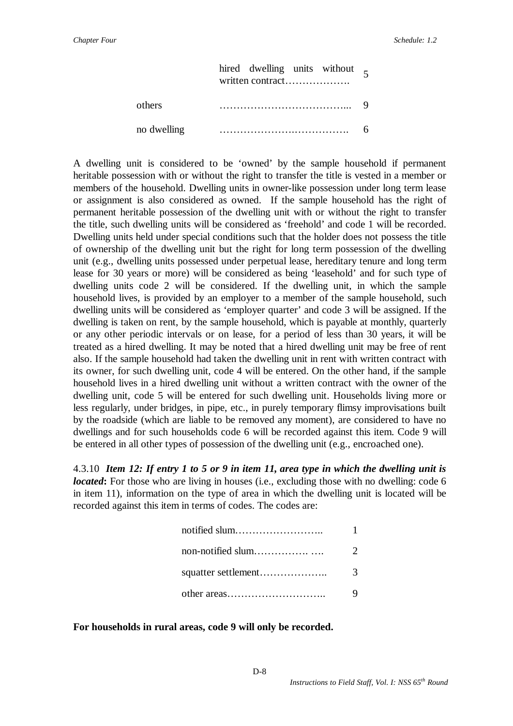|             | hired dwelling units without $\epsilon$<br>written contract |  |
|-------------|-------------------------------------------------------------|--|
| others      |                                                             |  |
| no dwelling |                                                             |  |

A dwelling unit is considered to be 'owned' by the sample household if permanent heritable possession with or without the right to transfer the title is vested in a member or members of the household. Dwelling units in owner-like possession under long term lease or assignment is also considered as owned. If the sample household has the right of permanent heritable possession of the dwelling unit with or without the right to transfer the title, such dwelling units will be considered as 'freehold' and code 1 will be recorded. Dwelling units held under special conditions such that the holder does not possess the title of ownership of the dwelling unit but the right for long term possession of the dwelling unit (e.g., dwelling units possessed under perpetual lease, hereditary tenure and long term lease for 30 years or more) will be considered as being 'leasehold' and for such type of dwelling units code 2 will be considered. If the dwelling unit, in which the sample household lives, is provided by an employer to a member of the sample household, such dwelling units will be considered as 'employer quarter' and code 3 will be assigned. If the dwelling is taken on rent, by the sample household, which is payable at monthly, quarterly or any other periodic intervals or on lease, for a period of less than 30 years, it will be treated as a hired dwelling. It may be noted that a hired dwelling unit may be free of rent also. If the sample household had taken the dwelling unit in rent with written contract with its owner, for such dwelling unit, code 4 will be entered. On the other hand, if the sample household lives in a hired dwelling unit without a written contract with the owner of the dwelling unit, code 5 will be entered for such dwelling unit. Households living more or less regularly, under bridges, in pipe, etc., in purely temporary flimsy improvisations built by the roadside (which are liable to be removed any moment), are considered to have no dwellings and for such households code 6 will be recorded against this item. Code 9 will be entered in all other types of possession of the dwelling unit (e.g., encroached one).

4.3.10 *Item 12: If entry 1 to 5 or 9 in item 11, area type in which the dwelling unit is located*: For those who are living in houses (i.e., excluding those with no dwelling: code 6 in item 11), information on the type of area in which the dwelling unit is located will be recorded against this item in terms of codes. The codes are:

| notified slum       |               |
|---------------------|---------------|
| non-notified slum   |               |
| squatter settlement | $\mathcal{R}$ |
|                     |               |

#### **For households in rural areas, code 9 will only be recorded.**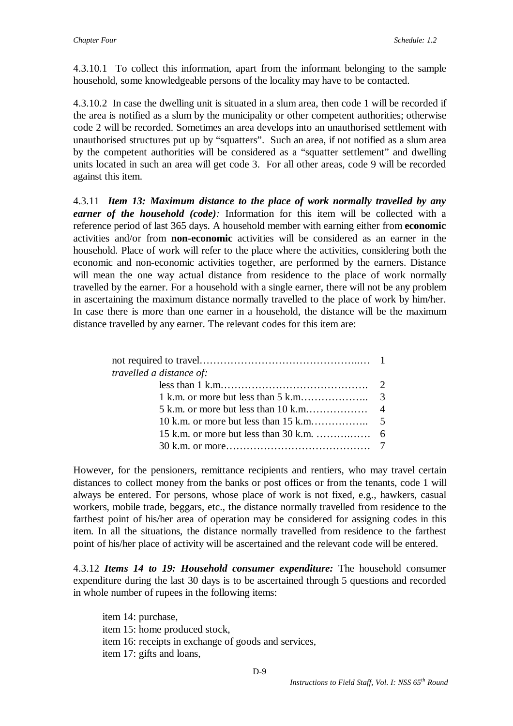4.3.10.1 To collect this information, apart from the informant belonging to the sample household, some knowledgeable persons of the locality may have to be contacted.

4.3.10.2 In case the dwelling unit is situated in a slum area, then code 1 will be recorded if the area is notified as a slum by the municipality or other competent authorities; otherwise code 2 will be recorded. Sometimes an area develops into an unauthorised settlement with unauthorised structures put up by "squatters". Such an area, if not notified as a slum area by the competent authorities will be considered as a "squatter settlement" and dwelling units located in such an area will get code 3. For all other areas, code 9 will be recorded against this item.

4.3.11 *Item 13: Maximum distance to the place of work normally travelled by any earner of the household (code):* Information for this item will be collected with a reference period of last 365 days. A household member with earning either from **economic** activities and/or from **non-economic** activities will be considered as an earner in the household. Place of work will refer to the place where the activities, considering both the economic and non-economic activities together, are performed by the earners. Distance will mean the one way actual distance from residence to the place of work normally travelled by the earner. For a household with a single earner, there will not be any problem in ascertaining the maximum distance normally travelled to the place of work by him/her. In case there is more than one earner in a household, the distance will be the maximum distance travelled by any earner. The relevant codes for this item are:

| <i>travelled a distance of:</i> |  |
|---------------------------------|--|
|                                 |  |
|                                 |  |
|                                 |  |
|                                 |  |
|                                 |  |
|                                 |  |

However, for the pensioners, remittance recipients and rentiers, who may travel certain distances to collect money from the banks or post offices or from the tenants, code 1 will always be entered. For persons, whose place of work is not fixed, e.g., hawkers, casual workers, mobile trade, beggars, etc., the distance normally travelled from residence to the farthest point of his/her area of operation may be considered for assigning codes in this item. In all the situations, the distance normally travelled from residence to the farthest point of his/her place of activity will be ascertained and the relevant code will be entered.

4.3.12 *Items 14 to 19: Household consumer expenditure:* The household consumer expenditure during the last 30 days is to be ascertained through 5 questions and recorded in whole number of rupees in the following items:

item 14: purchase, item 15: home produced stock, item 16: receipts in exchange of goods and services, item 17: gifts and loans,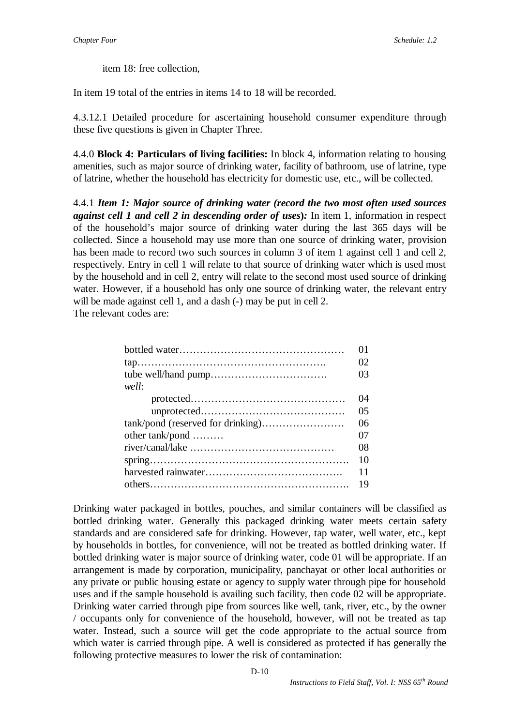item 18: free collection,

In item 19 total of the entries in items 14 to 18 will be recorded.

4.3.12.1 Detailed procedure for ascertaining household consumer expenditure through these five questions is given in Chapter Three.

4.4.0 **Block 4: Particulars of living facilities:** In block 4, information relating to housing amenities, such as major source of drinking water, facility of bathroom, use of latrine, type of latrine, whether the household has electricity for domestic use, etc., will be collected.

4.4.1 *Item 1: Major source of drinking water (record the two most often used sources against cell 1 and cell 2 in descending order of uses***)***:* In item 1, information in respect of the household's major source of drinking water during the last 365 days will be collected. Since a household may use more than one source of drinking water, provision has been made to record two such sources in column 3 of item 1 against cell 1 and cell 2, respectively. Entry in cell 1 will relate to that source of drinking water which is used most by the household and in cell 2, entry will relate to the second most used source of drinking water. However, if a household has only one source of drinking water, the relevant entry will be made against cell 1, and a dash (-) may be put in cell 2.

The relevant codes are:

|                 | Λ1 |
|-----------------|----|
|                 | 02 |
|                 | 03 |
| well:           |    |
|                 | 04 |
|                 | 05 |
|                 | 06 |
| other tank/pond | 07 |
|                 | 08 |
|                 | 10 |
|                 | 11 |
|                 | 19 |

Drinking water packaged in bottles, pouches, and similar containers will be classified as bottled drinking water. Generally this packaged drinking water meets certain safety standards and are considered safe for drinking. However, tap water, well water, etc., kept by households in bottles, for convenience, will not be treated as bottled drinking water. If bottled drinking water is major source of drinking water, code 01 will be appropriate. If an arrangement is made by corporation, municipality, panchayat or other local authorities or any private or public housing estate or agency to supply water through pipe for household uses and if the sample household is availing such facility, then code 02 will be appropriate. Drinking water carried through pipe from sources like well, tank, river, etc., by the owner / occupants only for convenience of the household, however, will not be treated as tap water. Instead, such a source will get the code appropriate to the actual source from which water is carried through pipe. A well is considered as protected if has generally the following protective measures to lower the risk of contamination: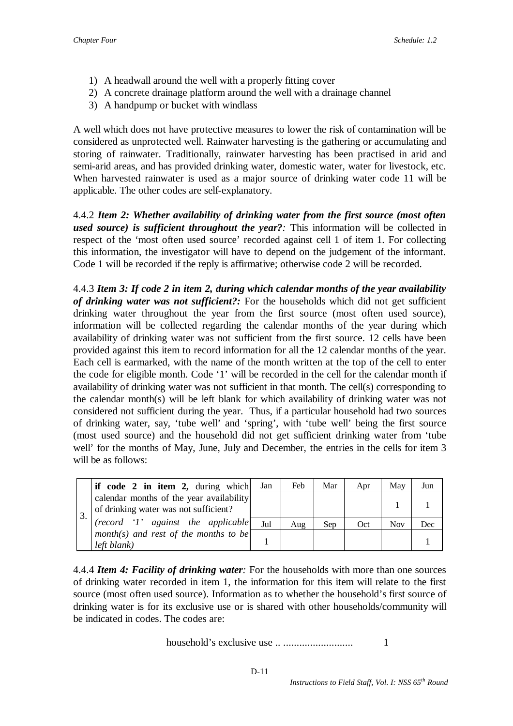- 1) A headwall around the well with a properly fitting cover
- 2) A concrete drainage platform around the well with a drainage channel
- 3) A handpump or bucket with windlass

A well which does not have protective measures to lower the risk of contamination will be considered as unprotected well. Rainwater harvesting is the gathering or accumulating and storing of rainwater. Traditionally, rainwater harvesting has been practised in arid and semi-arid areas, and has provided drinking water, domestic water, water for livestock, etc. When harvested rainwater is used as a major source of drinking water code 11 will be applicable. The other codes are self-explanatory.

4.4.2 *Item 2: Whether availability of drinking water from the first source (most often used source) is sufficient throughout the year?:* This information will be collected in respect of the 'most often used source' recorded against cell 1 of item 1. For collecting this information, the investigator will have to depend on the judgement of the informant. Code 1 will be recorded if the reply is affirmative; otherwise code 2 will be recorded.

4.4.3 *Item 3: If code 2 in item 2, during which calendar months of the year availability of drinking water was not sufficient?:* For the households which did not get sufficient drinking water throughout the year from the first source (most often used source), information will be collected regarding the calendar months of the year during which availability of drinking water was not sufficient from the first source. 12 cells have been provided against this item to record information for all the 12 calendar months of the year. Each cell is earmarked, with the name of the month written at the top of the cell to enter the code for eligible month. Code '1' will be recorded in the cell for the calendar month if availability of drinking water was not sufficient in that month. The cell(s) corresponding to the calendar month(s) will be left blank for which availability of drinking water was not considered not sufficient during the year. Thus, if a particular household had two sources of drinking water, say, 'tube well' and 'spring', with 'tube well' being the first source (most used source) and the household did not get sufficient drinking water from 'tube well' for the months of May, June, July and December, the entries in the cells for item 3 will be as follows:

| if code 2 in item 2, during which                                                 | Jan | Feb | Mar | Apr | May        | Jun |
|-----------------------------------------------------------------------------------|-----|-----|-----|-----|------------|-----|
| calendar months of the year availability<br>of drinking water was not sufficient? |     |     |     |     |            |     |
| (record '1' against the applicable)                                               | Jul | Aug | Sep | Oct | <b>Nov</b> | Dec |
| month(s) and rest of the months to be<br>left blank)                              |     |     |     |     |            |     |

4.4.4 *Item 4: Facility of drinking water:* For the households with more than one sources of drinking water recorded in item 1, the information for this item will relate to the first source (most often used source). Information as to whether the household's first source of drinking water is for its exclusive use or is shared with other households/community will be indicated in codes. The codes are:

household's exclusive use .. .......................... 1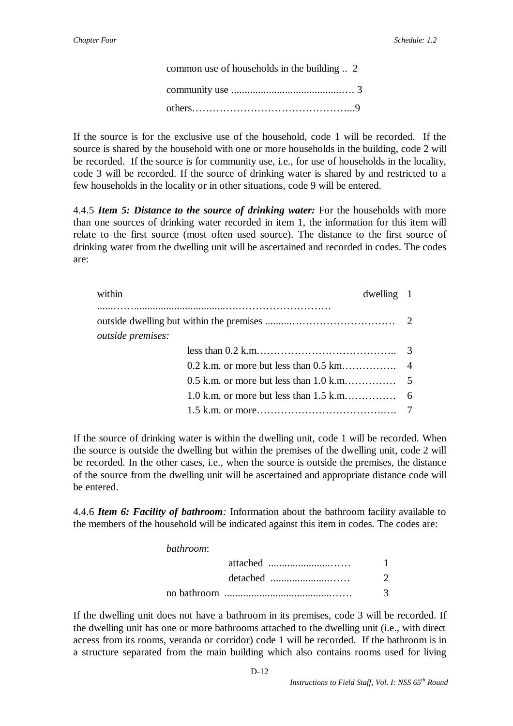| common use of households in the building  2 |  |
|---------------------------------------------|--|
|                                             |  |
|                                             |  |

If the source is for the exclusive use of the household, code 1 will be recorded. If the source is shared by the household with one or more households in the building, code 2 will be recorded. If the source is for community use, i.e., for use of households in the locality, code 3 will be recorded. If the source of drinking water is shared by and restricted to a few households in the locality or in other situations, code 9 will be entered.

4.4.5 *Item 5: Distance to the source of drinking water:* For the households with more than one sources of drinking water recorded in item 1, the information for this item will relate to the first source (most often used source). The distance to the first source of drinking water from the dwelling unit will be ascertained and recorded in codes. The codes are:

| within                   | $dwelling$ 1 |  |
|--------------------------|--------------|--|
|                          |              |  |
| <i>outside premises:</i> |              |  |
|                          |              |  |
|                          |              |  |
|                          |              |  |
|                          |              |  |

If the source of drinking water is within the dwelling unit, code 1 will be recorded. When the source is outside the dwelling but within the premises of the dwelling unit, code 2 will be recorded. In the other cases, i.e., when the source is outside the premises, the distance of the source from the dwelling unit will be ascertained and appropriate distance code will be entered.

4.4.6 *Item 6: Facility of bathroom:* Information about the bathroom facility available to the members of the household will be indicated against this item in codes. The codes are:

*bathroom*:

|  | $\mathcal{D}$ |
|--|---------------|
|  | $\mathcal{R}$ |

If the dwelling unit does not have a bathroom in its premises, code 3 will be recorded. If the dwelling unit has one or more bathrooms attached to the dwelling unit (i.e., with direct access from its rooms, veranda or corridor) code 1 will be recorded. If the bathroom is in a structure separated from the main building which also contains rooms used for living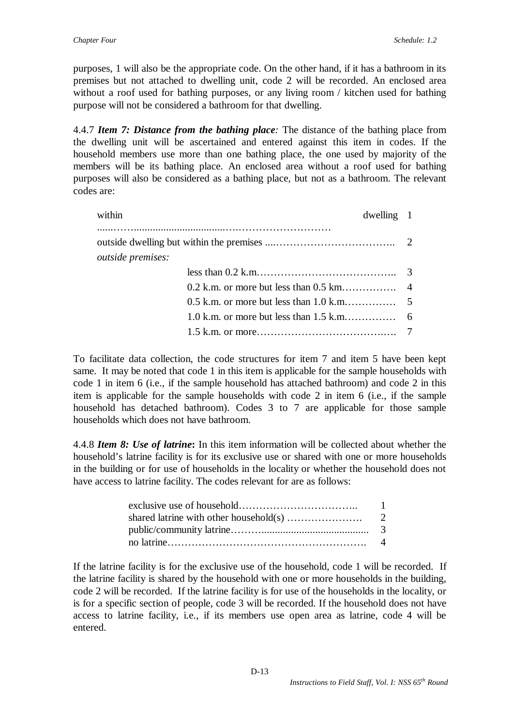purposes, 1 will also be the appropriate code. On the other hand, if it has a bathroom in its premises but not attached to dwelling unit, code 2 will be recorded. An enclosed area without a roof used for bathing purposes, or any living room / kitchen used for bathing purpose will not be considered a bathroom for that dwelling.

4.4.7 *Item 7: Distance from the bathing place:* The distance of the bathing place from the dwelling unit will be ascertained and entered against this item in codes. If the household members use more than one bathing place, the one used by majority of the members will be its bathing place. An enclosed area without a roof used for bathing purposes will also be considered as a bathing place, but not as a bathroom. The relevant codes are:

| within                   | $dwelling$ 1 |  |
|--------------------------|--------------|--|
| <i>outside premises:</i> |              |  |
|                          |              |  |
|                          |              |  |
|                          |              |  |
|                          |              |  |
|                          |              |  |

To facilitate data collection, the code structures for item 7 and item 5 have been kept same. It may be noted that code 1 in this item is applicable for the sample households with code 1 in item 6 (i.e., if the sample household has attached bathroom) and code 2 in this item is applicable for the sample households with code 2 in item 6 (i.e., if the sample household has detached bathroom). Codes 3 to 7 are applicable for those sample households which does not have bathroom.

4.4.8 *Item 8: Use of latrine***:** In this item information will be collected about whether the household's latrine facility is for its exclusive use or shared with one or more households in the building or for use of households in the locality or whether the household does not have access to latrine facility. The codes relevant for are as follows:

| -1 |
|----|
|    |
|    |
|    |

If the latrine facility is for the exclusive use of the household, code 1 will be recorded. If the latrine facility is shared by the household with one or more households in the building, code 2 will be recorded. If the latrine facility is for use of the households in the locality, or is for a specific section of people, code 3 will be recorded. If the household does not have access to latrine facility, i.e., if its members use open area as latrine, code 4 will be entered.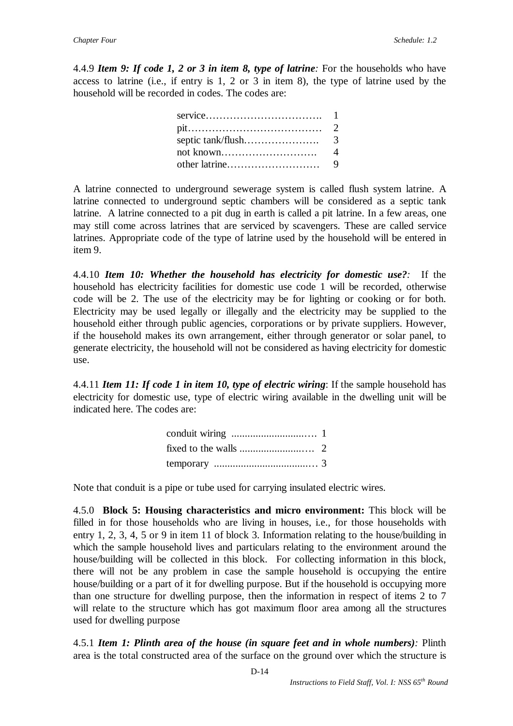4.4.9 *Item 9: If code 1, 2 or 3 in item 8, type of latrine:* For the households who have access to latrine (i.e., if entry is 1, 2 or 3 in item 8), the type of latrine used by the household will be recorded in codes. The codes are:

| $pit. \ldots \ldots \ldots \ldots \ldots \ldots \ldots \ldots \ldots \ldots \ldots 2$ |  |
|---------------------------------------------------------------------------------------|--|
|                                                                                       |  |
|                                                                                       |  |
|                                                                                       |  |

A latrine connected to underground sewerage system is called flush system latrine. A latrine connected to underground septic chambers will be considered as a septic tank latrine. A latrine connected to a pit dug in earth is called a pit latrine. In a few areas, one may still come across latrines that are serviced by scavengers. These are called service latrines. Appropriate code of the type of latrine used by the household will be entered in item 9.

4.4.10 *Item 10: Whether the household has electricity for domestic use?:*If the household has electricity facilities for domestic use code 1 will be recorded, otherwise code will be 2. The use of the electricity may be for lighting or cooking or for both. Electricity may be used legally or illegally and the electricity may be supplied to the household either through public agencies, corporations or by private suppliers. However, if the household makes its own arrangement, either through generator or solar panel, to generate electricity, the household will not be considered as having electricity for domestic use.

4.4.11 *Item 11: If code 1 in item 10, type of electric wiring*: If the sample household has electricity for domestic use, type of electric wiring available in the dwelling unit will be indicated here. The codes are:

Note that conduit is a pipe or tube used for carrying insulated electric wires.

4.5.0 **Block 5: Housing characteristics and micro environment:** This block will be filled in for those households who are living in houses, i.e., for those households with entry 1, 2, 3, 4, 5 or 9 in item 11 of block 3. Information relating to the house/building in which the sample household lives and particulars relating to the environment around the house/building will be collected in this block. For collecting information in this block, there will not be any problem in case the sample household is occupying the entire house/building or a part of it for dwelling purpose. But if the household is occupying more than one structure for dwelling purpose, then the information in respect of items 2 to 7 will relate to the structure which has got maximum floor area among all the structures used for dwelling purpose

4.5.1 *Item 1: Plinth area of the house (in square feet and in whole numbers):* Plinth area is the total constructed area of the surface on the ground over which the structure is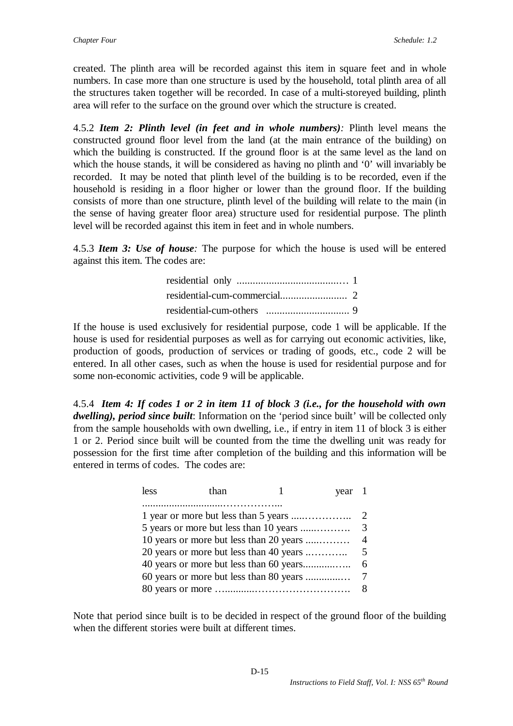created. The plinth area will be recorded against this item in square feet and in whole numbers. In case more than one structure is used by the household, total plinth area of all the structures taken together will be recorded. In case of a multi-storeyed building, plinth area will refer to the surface on the ground over which the structure is created.

4.5.2 *Item 2: Plinth level (in feet and in whole numbers):* Plinth level means the constructed ground floor level from the land (at the main entrance of the building) on which the building is constructed. If the ground floor is at the same level as the land on which the house stands, it will be considered as having no plinth and '0' will invariably be recorded. It may be noted that plinth level of the building is to be recorded, even if the household is residing in a floor higher or lower than the ground floor. If the building consists of more than one structure, plinth level of the building will relate to the main (in the sense of having greater floor area) structure used for residential purpose. The plinth level will be recorded against this item in feet and in whole numbers.

4.5.3 *Item 3: Use of house:* The purpose for which the house is used will be entered against this item. The codes are:

If the house is used exclusively for residential purpose, code 1 will be applicable. If the house is used for residential purposes as well as for carrying out economic activities, like, production of goods, production of services or trading of goods, etc., code 2 will be entered. In all other cases, such as when the house is used for residential purpose and for some non-economic activities, code 9 will be applicable.

4.5.4 *Item 4: If codes 1 or 2 in item 11 of block 3 (i.e., for the household with own dwelling), period since built*: Information on the 'period since built' will be collected only from the sample households with own dwelling, i.e., if entry in item 11 of block 3 is either 1 or 2. Period since built will be counted from the time the dwelling unit was ready for possession for the first time after completion of the building and this information will be entered in terms of codes. The codes are:

| less | than                                    | year 1 |                |
|------|-----------------------------------------|--------|----------------|
|      |                                         |        |                |
|      | 5 years or more but less than 10 years  |        | 3              |
|      | 10 years or more but less than 20 years |        | $\overline{4}$ |
|      | 20 years or more but less than 40 years |        | 5              |
|      |                                         |        | 6              |
|      | 60 years or more but less than 80 years |        |                |
|      |                                         |        | 8              |

Note that period since built is to be decided in respect of the ground floor of the building when the different stories were built at different times.

#### D-15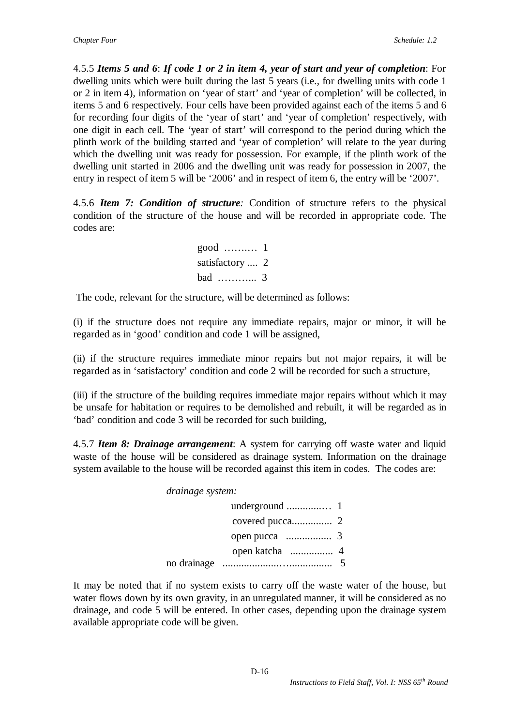4.5.5 *Items 5 and 6*: *If code 1 or 2 in item 4, year of start and year of completion*: For dwelling units which were built during the last 5 years (i.e., for dwelling units with code 1 or 2 in item 4), information on 'year of start' and 'year of completion' will be collected, in items 5 and 6 respectively. Four cells have been provided against each of the items 5 and 6 for recording four digits of the 'year of start' and 'year of completion' respectively, with one digit in each cell. The 'year of start' will correspond to the period during which the plinth work of the building started and 'year of completion' will relate to the year during which the dwelling unit was ready for possession. For example, if the plinth work of the dwelling unit started in 2006 and the dwelling unit was ready for possession in 2007, the entry in respect of item 5 will be '2006' and in respect of item 6, the entry will be '2007'.

4.5.6 *Item 7: Condition of structure:* Condition of structure refers to the physical condition of the structure of the house and will be recorded in appropriate code. The codes are:

| $good$ 1        |  |
|-----------------|--|
| satisfactory  2 |  |
| bad $3$         |  |

The code, relevant for the structure, will be determined as follows:

(i) if the structure does not require any immediate repairs, major or minor, it will be regarded as in 'good' condition and code 1 will be assigned,

(ii) if the structure requires immediate minor repairs but not major repairs, it will be regarded as in 'satisfactory' condition and code 2 will be recorded for such a structure,

(iii) if the structure of the building requires immediate major repairs without which it may be unsafe for habitation or requires to be demolished and rebuilt, it will be regarded as in 'bad' condition and code 3 will be recorded for such building,

4.5.7 *Item 8: Drainage arrangement*: A system for carrying off waste water and liquid waste of the house will be considered as drainage system. Information on the drainage system available to the house will be recorded against this item in codes. The codes are:

*drainage system:* 

| no drainage |  |
|-------------|--|

It may be noted that if no system exists to carry off the waste water of the house, but water flows down by its own gravity, in an unregulated manner, it will be considered as no drainage, and code 5 will be entered. In other cases, depending upon the drainage system available appropriate code will be given.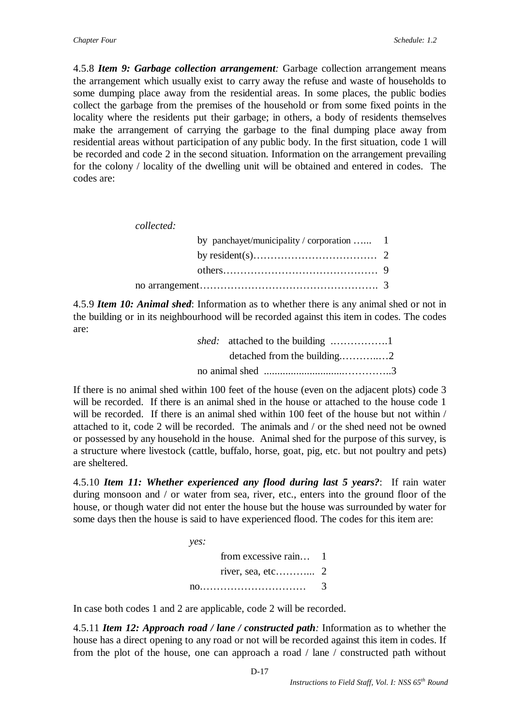4.5.8 *Item 9: Garbage collection arrangement:* Garbage collection arrangement means the arrangement which usually exist to carry away the refuse and waste of households to some dumping place away from the residential areas. In some places, the public bodies collect the garbage from the premises of the household or from some fixed points in the locality where the residents put their garbage; in others, a body of residents themselves make the arrangement of carrying the garbage to the final dumping place away from residential areas without participation of any public body. In the first situation, code 1 will be recorded and code 2 in the second situation. Information on the arrangement prevailing for the colony / locality of the dwelling unit will be obtained and entered in codes. The codes are:

*collected:* 

| by panchayet/municipality / corporation  1 |  |
|--------------------------------------------|--|
|                                            |  |
|                                            |  |
|                                            |  |

4.5.9 *Item 10: Animal shed*: Information as to whether there is any animal shed or not in the building or in its neighbourhood will be recorded against this item in codes. The codes are:

> *shed:* attached to the building .…………….1 detached from the building.………..…2 no animal shed ..............................…………..3

If there is no animal shed within 100 feet of the house (even on the adjacent plots) code 3 will be recorded. If there is an animal shed in the house or attached to the house code 1 will be recorded. If there is an animal shed within 100 feet of the house but not within / attached to it, code 2 will be recorded. The animals and / or the shed need not be owned or possessed by any household in the house. Animal shed for the purpose of this survey, is a structure where livestock (cattle, buffalo, horse, goat, pig, etc. but not poultry and pets) are sheltered.

4.5.10 *Item 11: Whether experienced any flood during last 5 years?*: If rain water during monsoon and / or water from sea, river, etc., enters into the ground floor of the house, or though water did not enter the house but the house was surrounded by water for some days then the house is said to have experienced flood. The codes for this item are:

| yes:                  |   |
|-----------------------|---|
| from excessive rain 1 |   |
|                       |   |
|                       | 3 |

In case both codes 1 and 2 are applicable, code 2 will be recorded.

4.5.11 *Item 12: Approach road / lane / constructed path:* Information as to whether the house has a direct opening to any road or not will be recorded against this item in codes. If from the plot of the house, one can approach a road / lane / constructed path without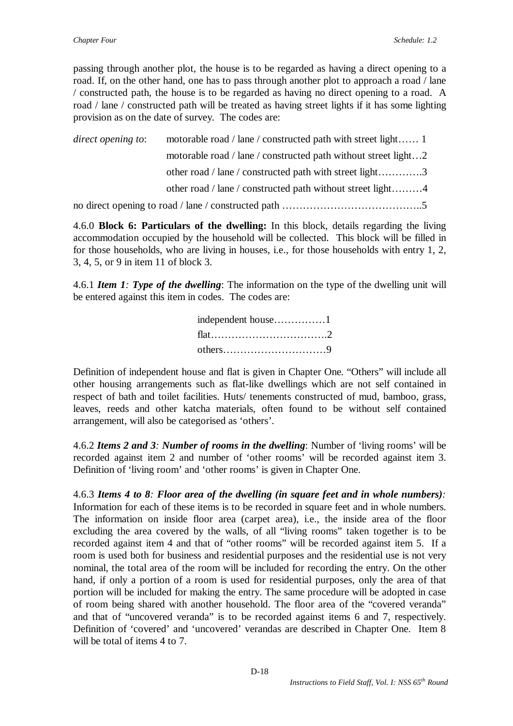passing through another plot, the house is to be regarded as having a direct opening to a road. If, on the other hand, one has to pass through another plot to approach a road / lane / constructed path, the house is to be regarded as having no direct opening to a road. A road / lane / constructed path will be treated as having street lights if it has some lighting provision as on the date of survey. The codes are:

*direct opening to*: motorable road / lane / constructed path with street light…… 1 motorable road / lane / constructed path without street light…2 other road / lane / constructed path with street light………….3 other road / lane / constructed path without street light………4 no direct opening to road / lane / constructed path …………………………………..5

4.6.0 **Block 6: Particulars of the dwelling:** In this block, details regarding the living accommodation occupied by the household will be collected. This block will be filled in for those households, who are living in houses, i.e., for those households with entry 1, 2, 3, 4, 5, or 9 in item 11 of block 3.

4.6.1 *Item 1: Type of the dwelling*: The information on the type of the dwelling unit will be entered against this item in codes. The codes are:

| independent house1 |  |
|--------------------|--|
|                    |  |
|                    |  |

Definition of independent house and flat is given in Chapter One. "Others" will include all other housing arrangements such as flat-like dwellings which are not self contained in respect of bath and toilet facilities. Huts/ tenements constructed of mud, bamboo, grass, leaves, reeds and other katcha materials, often found to be without self contained arrangement, will also be categorised as 'others'.

4.6.2 *Items 2 and 3: Number of rooms in the dwelling*: Number of 'living rooms' will be recorded against item 2 and number of 'other rooms' will be recorded against item 3. Definition of 'living room' and 'other rooms' is given in Chapter One.

4.6.3 *Items 4 to 8: Floor area of the dwelling (in square feet and in whole numbers):* Information for each of these items is to be recorded in square feet and in whole numbers. The information on inside floor area (carpet area), i.e., the inside area of the floor excluding the area covered by the walls, of all "living rooms" taken together is to be recorded against item 4 and that of "other rooms" will be recorded against item 5. If a room is used both for business and residential purposes and the residential use is not very nominal, the total area of the room will be included for recording the entry. On the other hand, if only a portion of a room is used for residential purposes, only the area of that portion will be included for making the entry. The same procedure will be adopted in case of room being shared with another household. The floor area of the "covered veranda" and that of "uncovered veranda" is to be recorded against items 6 and 7, respectively. Definition of 'covered' and 'uncovered' verandas are described in Chapter One. Item 8 will be total of items 4 to 7.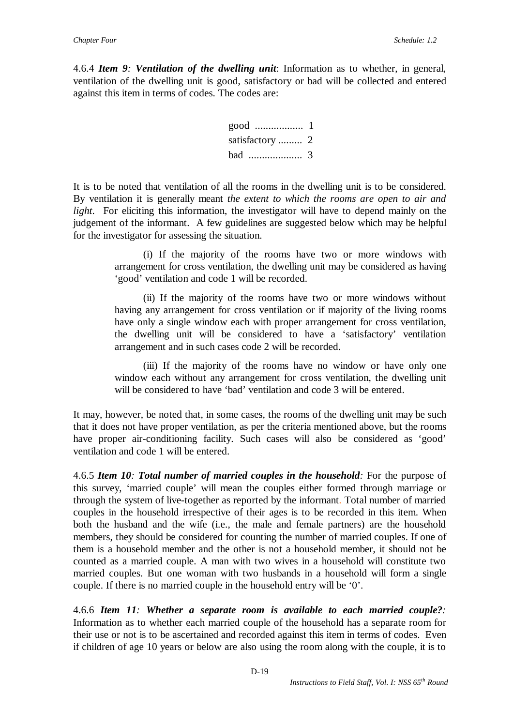4.6.4 *Item 9: Ventilation of the dwelling unit*: Information as to whether, in general, ventilation of the dwelling unit is good, satisfactory or bad will be collected and entered against this item in terms of codes. The codes are:



It is to be noted that ventilation of all the rooms in the dwelling unit is to be considered. By ventilation it is generally meant *the extent to which the rooms are open to air and light*. For eliciting this information, the investigator will have to depend mainly on the judgement of the informant. A few guidelines are suggested below which may be helpful for the investigator for assessing the situation.

> (i) If the majority of the rooms have two or more windows with arrangement for cross ventilation, the dwelling unit may be considered as having 'good' ventilation and code 1 will be recorded.

> (ii) If the majority of the rooms have two or more windows without having any arrangement for cross ventilation or if majority of the living rooms have only a single window each with proper arrangement for cross ventilation, the dwelling unit will be considered to have a 'satisfactory' ventilation arrangement and in such cases code 2 will be recorded.

> (iii) If the majority of the rooms have no window or have only one window each without any arrangement for cross ventilation, the dwelling unit will be considered to have 'bad' ventilation and code 3 will be entered.

It may, however, be noted that, in some cases, the rooms of the dwelling unit may be such that it does not have proper ventilation, as per the criteria mentioned above, but the rooms have proper air-conditioning facility. Such cases will also be considered as 'good' ventilation and code 1 will be entered.

4.6.5 *Item 10: Total number of married couples in the household:* For the purpose of this survey, 'married couple' will mean the couples either formed through marriage or through the system of live-together as reported by the informant. Total number of married couples in the household irrespective of their ages is to be recorded in this item. When both the husband and the wife (i.e., the male and female partners) are the household members, they should be considered for counting the number of married couples. If one of them is a household member and the other is not a household member, it should not be counted as a married couple. A man with two wives in a household will constitute two married couples. But one woman with two husbands in a household will form a single couple. If there is no married couple in the household entry will be '0'.

4.6.6 *Item 11: Whether a separate room is available to each married couple?:*  Information as to whether each married couple of the household has a separate room for their use or not is to be ascertained and recorded against this item in terms of codes. Even if children of age 10 years or below are also using the room along with the couple, it is to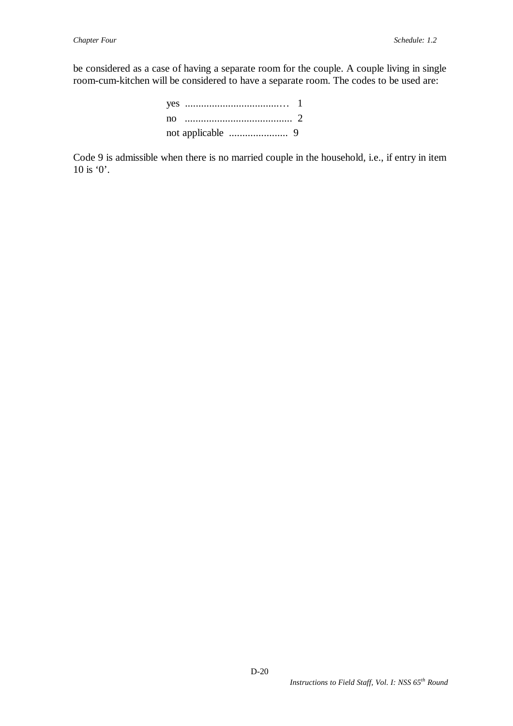be considered as a case of having a separate room for the couple. A couple living in single room-cum-kitchen will be considered to have a separate room. The codes to be used are:

Code 9 is admissible when there is no married couple in the household, i.e., if entry in item 10 is '0'.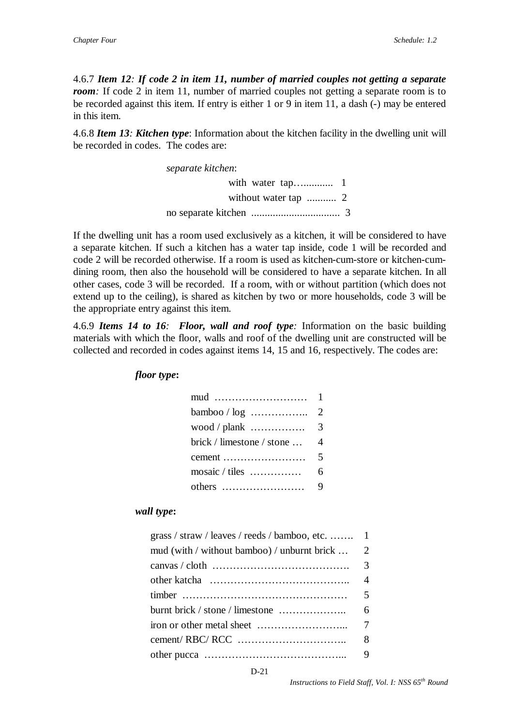4.6.7 *Item 12: If code 2 in item 11, number of married couples not getting a separate room*: If code 2 in item 11, number of married couples not getting a separate room is to be recorded against this item. If entry is either 1 or 9 in item 11, a dash (-) may be entered in this item.

4.6.8 *Item 13: Kitchen type*: Information about the kitchen facility in the dwelling unit will be recorded in codes. The codes are:

*separate kitchen*:

with water tap…........... 1 without water tap ........... 2 no separate kitchen ................................. 3

If the dwelling unit has a room used exclusively as a kitchen, it will be considered to have a separate kitchen. If such a kitchen has a water tap inside, code 1 will be recorded and code 2 will be recorded otherwise. If a room is used as kitchen-cum-store or kitchen-cumdining room, then also the household will be considered to have a separate kitchen. In all other cases, code 3 will be recorded. If a room, with or without partition (which does not extend up to the ceiling), is shared as kitchen by two or more households, code 3 will be the appropriate entry against this item.

4.6.9 *Items 14 to 16: Floor, wall and roof type:* Information on the basic building materials with which the floor, walls and roof of the dwelling unit are constructed will be collected and recorded in codes against items 14, 15 and 16, respectively. The codes are:

*floor type***:**

| $bamboo / log$                           | $\overline{2}$ |
|------------------------------------------|----------------|
| wood / plank $\dots\dots\dots\dots\dots$ | 3              |
| brick / limestone / stone                | 4              |
|                                          | 5              |
| mosaic / tiles                           | 6              |
|                                          | 9              |

#### *wall type***:**

| grass / straw / leaves / reeds / bamboo, etc.  1 |                |
|--------------------------------------------------|----------------|
| mud (with / without bamboo) / unburnt brick      | 2              |
|                                                  |                |
|                                                  | $\overline{4}$ |
|                                                  |                |
| burnt brick / stone / limestone $\dots$          | 6              |
|                                                  |                |
|                                                  | 8              |
|                                                  |                |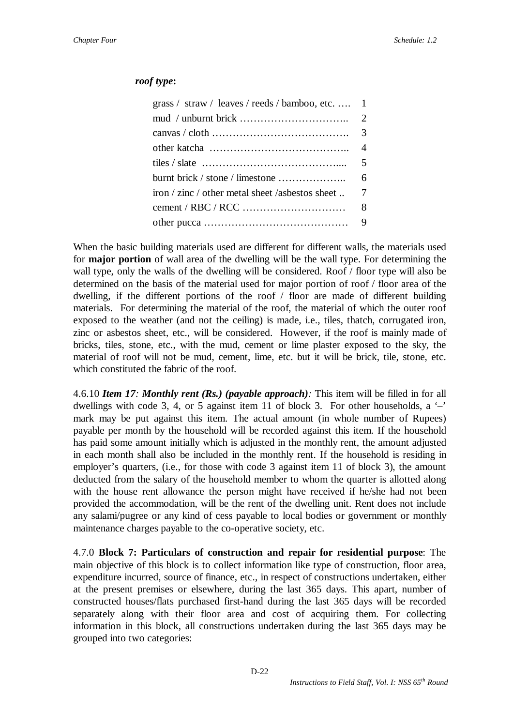### *roof type***:**

| grass / straw / leaves / reeds / bamboo, etc.  1   |                |
|----------------------------------------------------|----------------|
|                                                    |                |
|                                                    |                |
|                                                    | $\overline{4}$ |
|                                                    |                |
|                                                    | 6              |
| iron / zinc / other metal sheet /asbestos sheet  7 |                |
|                                                    | 8              |
|                                                    |                |

When the basic building materials used are different for different walls, the materials used for **major portion** of wall area of the dwelling will be the wall type. For determining the wall type, only the walls of the dwelling will be considered. Roof / floor type will also be determined on the basis of the material used for major portion of roof / floor area of the dwelling, if the different portions of the roof / floor are made of different building materials. For determining the material of the roof, the material of which the outer roof exposed to the weather (and not the ceiling) is made, i.e., tiles, thatch, corrugated iron, zinc or asbestos sheet, etc., will be considered. However, if the roof is mainly made of bricks, tiles, stone, etc., with the mud, cement or lime plaster exposed to the sky, the material of roof will not be mud, cement, lime, etc. but it will be brick, tile, stone, etc. which constituted the fabric of the roof.

4.6.10 *Item 17: Monthly rent (Rs.) (payable approach):* This item will be filled in for all dwellings with code 3, 4, or 5 against item 11 of block 3. For other households, a  $$ mark may be put against this item. The actual amount (in whole number of Rupees) payable per month by the household will be recorded against this item. If the household has paid some amount initially which is adjusted in the monthly rent, the amount adjusted in each month shall also be included in the monthly rent. If the household is residing in employer's quarters, (i.e., for those with code 3 against item 11 of block 3), the amount deducted from the salary of the household member to whom the quarter is allotted along with the house rent allowance the person might have received if he/she had not been provided the accommodation, will be the rent of the dwelling unit. Rent does not include any salami/pugree or any kind of cess payable to local bodies or government or monthly maintenance charges payable to the co-operative society, etc.

4.7.0 **Block 7: Particulars of construction and repair for residential purpose**: The main objective of this block is to collect information like type of construction, floor area, expenditure incurred, source of finance, etc., in respect of constructions undertaken, either at the present premises or elsewhere, during the last 365 days. This apart, number of constructed houses/flats purchased first-hand during the last 365 days will be recorded separately along with their floor area and cost of acquiring them. For collecting information in this block, all constructions undertaken during the last 365 days may be grouped into two categories: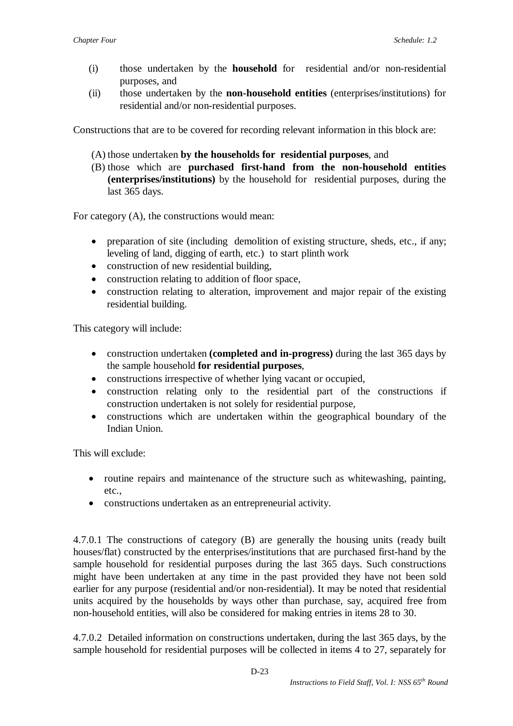- (i) those undertaken by the **household** for residential and/or non-residential purposes, and
- (ii) those undertaken by the **non-household entities** (enterprises/institutions) for residential and/or non-residential purposes.

Constructions that are to be covered for recording relevant information in this block are:

- (A) those undertaken **by the households for residential purposes**, and
- (B) those which are **purchased first-hand from the non-household entities (enterprises/institutions)** by the household for residential purposes, during the last 365 days.

For category (A), the constructions would mean:

- preparation of site (including demolition of existing structure, sheds, etc., if any; leveling of land, digging of earth, etc.) to start plinth work
- construction of new residential building,
- construction relating to addition of floor space,
- construction relating to alteration, improvement and major repair of the existing residential building.

This category will include:

- construction undertaken **(completed and in-progress)** during the last 365 days by the sample household **for residential purposes**,
- constructions irrespective of whether lying vacant or occupied,
- construction relating only to the residential part of the constructions if construction undertaken is not solely for residential purpose,
- constructions which are undertaken within the geographical boundary of the Indian Union.

This will exclude:

- routine repairs and maintenance of the structure such as whitewashing, painting, etc.,
- constructions undertaken as an entrepreneurial activity.

4.7.0.1 The constructions of category (B) are generally the housing units (ready built houses/flat) constructed by the enterprises/institutions that are purchased first-hand by the sample household for residential purposes during the last 365 days. Such constructions might have been undertaken at any time in the past provided they have not been sold earlier for any purpose (residential and/or non-residential). It may be noted that residential units acquired by the households by ways other than purchase, say, acquired free from non-household entities, will also be considered for making entries in items 28 to 30.

4.7.0.2 Detailed information on constructions undertaken, during the last 365 days, by the sample household for residential purposes will be collected in items 4 to 27, separately for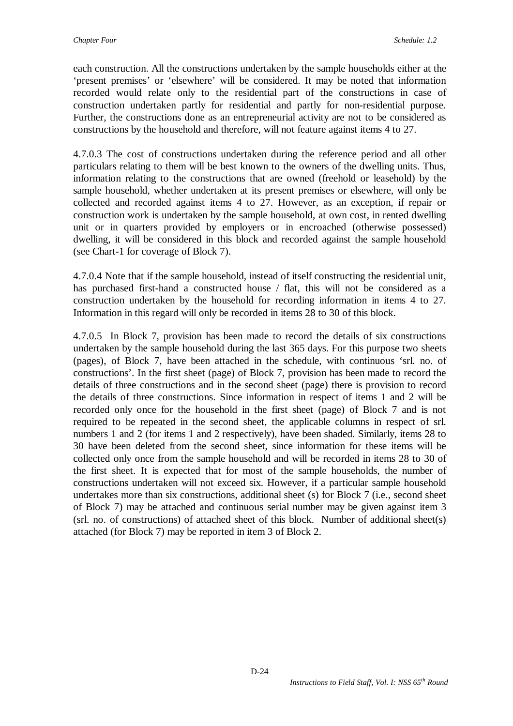each construction. All the constructions undertaken by the sample households either at the 'present premises' or 'elsewhere' will be considered. It may be noted that information recorded would relate only to the residential part of the constructions in case of construction undertaken partly for residential and partly for non-residential purpose. Further, the constructions done as an entrepreneurial activity are not to be considered as constructions by the household and therefore, will not feature against items 4 to 27.

4.7.0.3 The cost of constructions undertaken during the reference period and all other particulars relating to them will be best known to the owners of the dwelling units. Thus, information relating to the constructions that are owned (freehold or leasehold) by the sample household, whether undertaken at its present premises or elsewhere, will only be collected and recorded against items 4 to 27. However, as an exception, if repair or construction work is undertaken by the sample household, at own cost, in rented dwelling unit or in quarters provided by employers or in encroached (otherwise possessed) dwelling, it will be considered in this block and recorded against the sample household (see Chart-1 for coverage of Block 7).

4.7.0.4 Note that if the sample household, instead of itself constructing the residential unit, has purchased first-hand a constructed house / flat, this will not be considered as a construction undertaken by the household for recording information in items 4 to 27. Information in this regard will only be recorded in items 28 to 30 of this block.

4.7.0.5 In Block 7, provision has been made to record the details of six constructions undertaken by the sample household during the last 365 days. For this purpose two sheets (pages), of Block 7, have been attached in the schedule, with continuous 'srl. no. of constructions'. In the first sheet (page) of Block 7, provision has been made to record the details of three constructions and in the second sheet (page) there is provision to record the details of three constructions. Since information in respect of items 1 and 2 will be recorded only once for the household in the first sheet (page) of Block 7 and is not required to be repeated in the second sheet, the applicable columns in respect of srl. numbers 1 and 2 (for items 1 and 2 respectively), have been shaded. Similarly, items 28 to 30 have been deleted from the second sheet, since information for these items will be collected only once from the sample household and will be recorded in items 28 to 30 of the first sheet. It is expected that for most of the sample households, the number of constructions undertaken will not exceed six. However, if a particular sample household undertakes more than six constructions, additional sheet (s) for Block 7 (i.e., second sheet of Block 7) may be attached and continuous serial number may be given against item 3 (srl. no. of constructions) of attached sheet of this block. Number of additional sheet(s) attached (for Block 7) may be reported in item 3 of Block 2.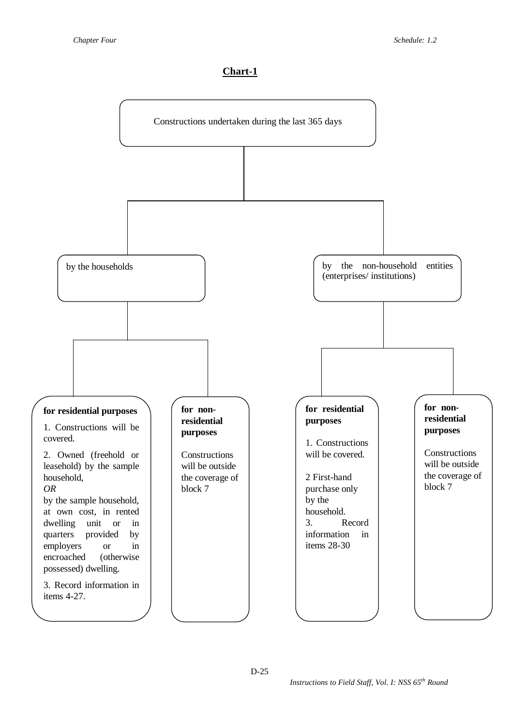### **Chart-1**

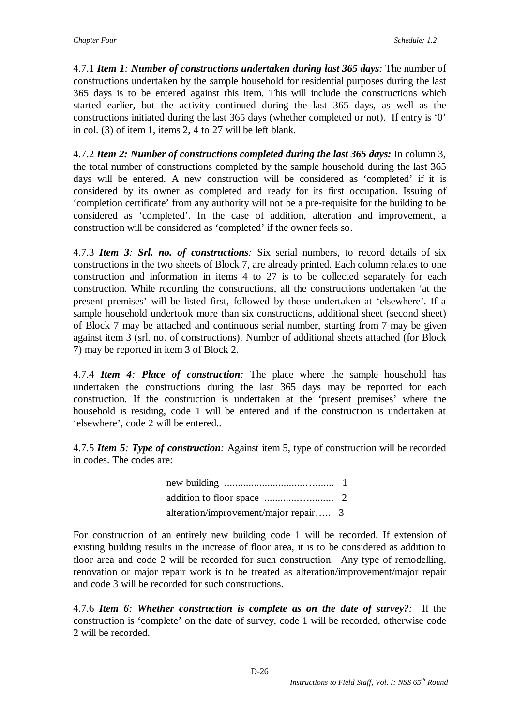4.7.1 *Item 1: Number of constructions undertaken during last 365 days:* The number of constructions undertaken by the sample household for residential purposes during the last 365 days is to be entered against this item. This will include the constructions which started earlier, but the activity continued during the last 365 days, as well as the constructions initiated during the last 365 days (whether completed or not). If entry is '0' in col. (3) of item 1, items 2, 4 to 27 will be left blank.

4.7.2 *Item 2: Number of constructions completed during the last 365 days:* In column 3, the total number of constructions completed by the sample household during the last 365 days will be entered. A new construction will be considered as 'completed' if it is considered by its owner as completed and ready for its first occupation. Issuing of 'completion certificate' from any authority will not be a pre-requisite for the building to be considered as 'completed'. In the case of addition, alteration and improvement, a construction will be considered as 'completed' if the owner feels so.

4.7.3 *Item 3: Srl. no. of constructions:* Six serial numbers, to record details of six constructions in the two sheets of Block 7, are already printed. Each column relates to one construction and information in items 4 to 27 is to be collected separately for each construction. While recording the constructions, all the constructions undertaken 'at the present premises' will be listed first, followed by those undertaken at 'elsewhere'. If a sample household undertook more than six constructions, additional sheet (second sheet) of Block 7 may be attached and continuous serial number, starting from 7 may be given against item 3 (srl. no. of constructions). Number of additional sheets attached (for Block 7) may be reported in item 3 of Block 2.

4.7.4 *Item 4: Place of construction:* The place where the sample household has undertaken the constructions during the last 365 days may be reported for each construction. If the construction is undertaken at the 'present premises' where the household is residing, code 1 will be entered and if the construction is undertaken at 'elsewhere', code 2 will be entered..

4.7.5 *Item 5: Type of construction:* Against item 5, type of construction will be recorded in codes. The codes are:

> new building ..............................…....... 1 addition to floor space .............…......... 2 alteration/improvement/major repair….. 3

For construction of an entirely new building code 1 will be recorded. If extension of existing building results in the increase of floor area, it is to be considered as addition to floor area and code 2 will be recorded for such construction. Any type of remodelling, renovation or major repair work is to be treated as alteration/improvement/major repair and code 3 will be recorded for such constructions.

4.7.6 *Item 6: Whether construction is complete as on the date of survey?:* If the construction is 'complete' on the date of survey, code 1 will be recorded, otherwise code 2 will be recorded.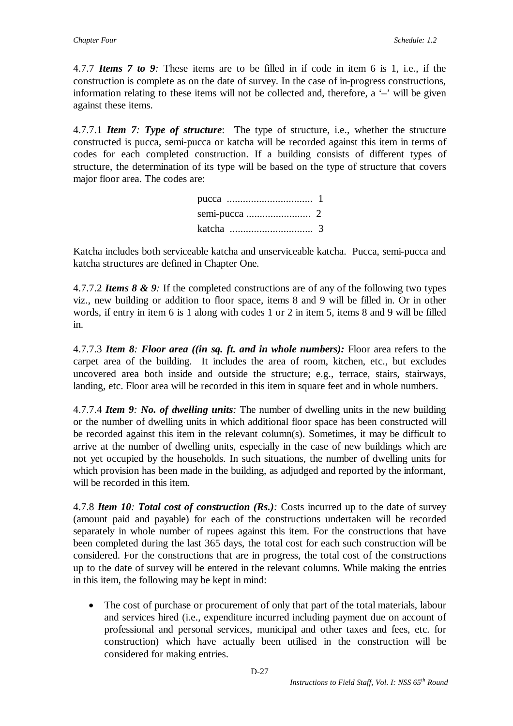4.7.7 *Items 7 to 9:* These items are to be filled in if code in item 6 is 1, i.e., if the construction is complete as on the date of survey. In the case of in-progress constructions, information relating to these items will not be collected and, therefore, a '–' will be given against these items.

4.7.7.1 *Item 7: Type of structure*: The type of structure, i.e., whether the structure constructed is pucca, semi-pucca or katcha will be recorded against this item in terms of codes for each completed construction. If a building consists of different types of structure, the determination of its type will be based on the type of structure that covers major floor area. The codes are:

Katcha includes both serviceable katcha and unserviceable katcha. Pucca, semi-pucca and katcha structures are defined in Chapter One.

4.7.7.2 *Items 8 & 9:* If the completed constructions are of any of the following two types viz., new building or addition to floor space, items 8 and 9 will be filled in. Or in other words, if entry in item 6 is 1 along with codes 1 or 2 in item 5, items 8 and 9 will be filled in.

4.7.7.3 *Item 8: Floor area ((in sq. ft. and in whole numbers):* Floor area refers to the carpet area of the building. It includes the area of room, kitchen, etc., but excludes uncovered area both inside and outside the structure; e.g., terrace, stairs, stairways, landing, etc. Floor area will be recorded in this item in square feet and in whole numbers.

4.7.7.4 *Item 9: No. of dwelling units:* The number of dwelling units in the new building or the number of dwelling units in which additional floor space has been constructed will be recorded against this item in the relevant column(s). Sometimes, it may be difficult to arrive at the number of dwelling units, especially in the case of new buildings which are not yet occupied by the households. In such situations, the number of dwelling units for which provision has been made in the building, as adjudged and reported by the informant, will be recorded in this item.

4.7.8 *Item 10: Total cost of construction (Rs.):* Costs incurred up to the date of survey (amount paid and payable) for each of the constructions undertaken will be recorded separately in whole number of rupees against this item. For the constructions that have been completed during the last 365 days, the total cost for each such construction will be considered. For the constructions that are in progress, the total cost of the constructions up to the date of survey will be entered in the relevant columns. While making the entries in this item, the following may be kept in mind:

 The cost of purchase or procurement of only that part of the total materials, labour and services hired (i.e., expenditure incurred including payment due on account of professional and personal services, municipal and other taxes and fees, etc. for construction) which have actually been utilised in the construction will be considered for making entries.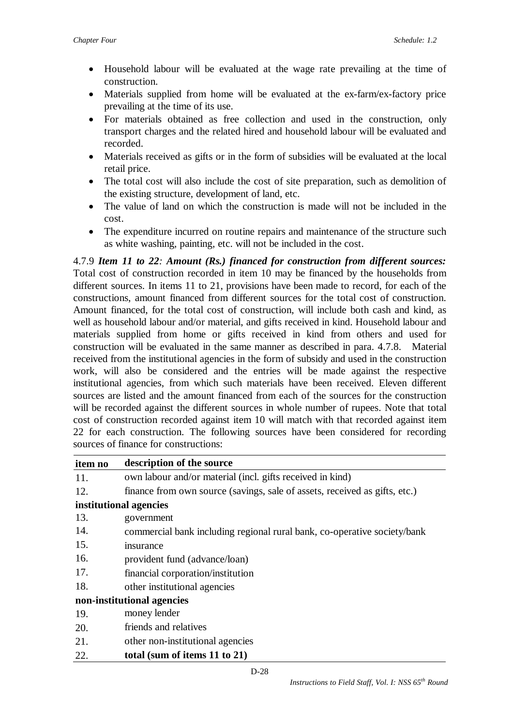- Household labour will be evaluated at the wage rate prevailing at the time of construction.
- Materials supplied from home will be evaluated at the ex-farm/ex-factory price prevailing at the time of its use.
- For materials obtained as free collection and used in the construction, only transport charges and the related hired and household labour will be evaluated and recorded.
- Materials received as gifts or in the form of subsidies will be evaluated at the local retail price.
- The total cost will also include the cost of site preparation, such as demolition of the existing structure, development of land, etc.
- The value of land on which the construction is made will not be included in the cost.
- The expenditure incurred on routine repairs and maintenance of the structure such as white washing, painting, etc. will not be included in the cost.

4.7.9 *Item 11 to 22: Amount (Rs.) financed for construction from different sources:* Total cost of construction recorded in item 10 may be financed by the households from different sources. In items 11 to 21, provisions have been made to record, for each of the constructions, amount financed from different sources for the total cost of construction. Amount financed, for the total cost of construction, will include both cash and kind, as well as household labour and/or material, and gifts received in kind. Household labour and materials supplied from home or gifts received in kind from others and used for construction will be evaluated in the same manner as described in para. 4.7.8. Material received from the institutional agencies in the form of subsidy and used in the construction work, will also be considered and the entries will be made against the respective institutional agencies, from which such materials have been received. Eleven different sources are listed and the amount financed from each of the sources for the construction will be recorded against the different sources in whole number of rupees. Note that total cost of construction recorded against item 10 will match with that recorded against item 22 for each construction. The following sources have been considered for recording sources of finance for constructions:

| item no                    | description of the source                                                  |
|----------------------------|----------------------------------------------------------------------------|
| 11.                        | own labour and/or material (incl. gifts received in kind)                  |
| 12.                        | finance from own source (savings, sale of assets, received as gifts, etc.) |
| institutional agencies     |                                                                            |
| 13.                        | government                                                                 |
| 14.                        | commercial bank including regional rural bank, co-operative society/bank   |
| 15.                        | insurance                                                                  |
| 16.                        | provident fund (advance/loan)                                              |
| 17.                        | financial corporation/institution                                          |
| 18.                        | other institutional agencies                                               |
| non-institutional agencies |                                                                            |
| 19.                        | money lender                                                               |
| 20.                        | friends and relatives                                                      |
| 21.                        | other non-institutional agencies                                           |
| 22.                        | total (sum of items 11 to 21)                                              |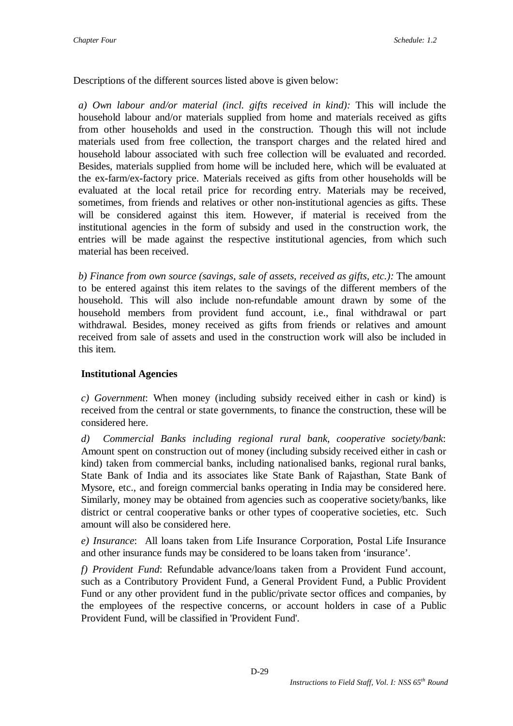Descriptions of the different sources listed above is given below:

*a) Own labour and/or material (incl. gifts received in kind):* This will include the household labour and/or materials supplied from home and materials received as gifts from other households and used in the construction. Though this will not include materials used from free collection, the transport charges and the related hired and household labour associated with such free collection will be evaluated and recorded. Besides, materials supplied from home will be included here, which will be evaluated at the ex-farm/ex-factory price. Materials received as gifts from other households will be evaluated at the local retail price for recording entry. Materials may be received, sometimes, from friends and relatives or other non-institutional agencies as gifts. These will be considered against this item. However, if material is received from the institutional agencies in the form of subsidy and used in the construction work, the entries will be made against the respective institutional agencies, from which such material has been received.

*b) Finance from own source (savings, sale of assets, received as gifts, etc.):* The amount to be entered against this item relates to the savings of the different members of the household. This will also include non-refundable amount drawn by some of the household members from provident fund account, i.e., final withdrawal or part withdrawal. Besides, money received as gifts from friends or relatives and amount received from sale of assets and used in the construction work will also be included in this item.

### **Institutional Agencies**

*c) Government*: When money (including subsidy received either in cash or kind) is received from the central or state governments, to finance the construction, these will be considered here.

*d) Commercial Banks including regional rural bank, cooperative society/bank*: Amount spent on construction out of money (including subsidy received either in cash or kind) taken from commercial banks, including nationalised banks, regional rural banks, State Bank of India and its associates like State Bank of Rajasthan, State Bank of Mysore, etc., and foreign commercial banks operating in India may be considered here. Similarly, money may be obtained from agencies such as cooperative society/banks, like district or central cooperative banks or other types of cooperative societies, etc. Such amount will also be considered here.

*e) Insurance*: All loans taken from Life Insurance Corporation, Postal Life Insurance and other insurance funds may be considered to be loans taken from 'insurance'.

*f) Provident Fund*: Refundable advance/loans taken from a Provident Fund account, such as a Contributory Provident Fund, a General Provident Fund, a Public Provident Fund or any other provident fund in the public/private sector offices and companies, by the employees of the respective concerns, or account holders in case of a Public Provident Fund, will be classified in 'Provident Fund'.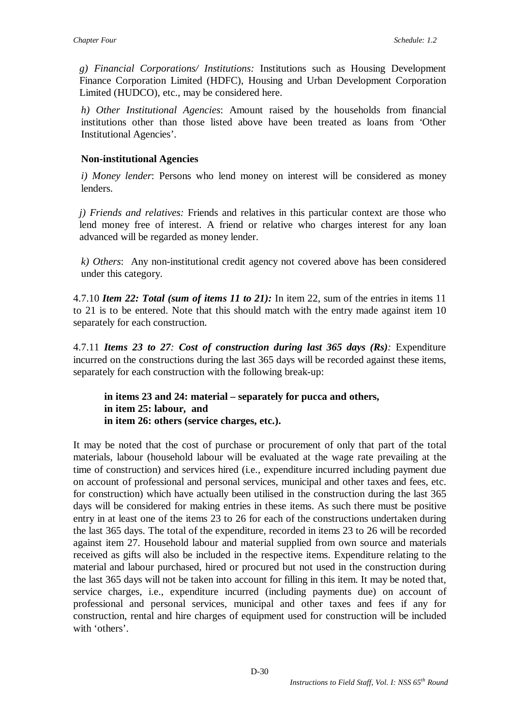*g) Financial Corporations/ Institutions:* Institutions such as Housing Development Finance Corporation Limited (HDFC), Housing and Urban Development Corporation Limited (HUDCO), etc., may be considered here.

*h) Other Institutional Agencies*: Amount raised by the households from financial institutions other than those listed above have been treated as loans from 'Other Institutional Agencies'.

### **Non-institutional Agencies**

*i) Money lender*: Persons who lend money on interest will be considered as money lenders.

*j) Friends and relatives:* Friends and relatives in this particular context are those who lend money free of interest. A friend or relative who charges interest for any loan advanced will be regarded as money lender.

*k) Others*: Any non-institutional credit agency not covered above has been considered under this category.

4.7.10 *Item 22: Total (sum of items 11 to 21):* In item 22, sum of the entries in items 11 to 21 is to be entered. Note that this should match with the entry made against item 10 separately for each construction.

4.7.11 *Items 23 to 27: Cost of construction during last 365 days (Rs):* Expenditure incurred on the constructions during the last 365 days will be recorded against these items, separately for each construction with the following break-up:

**in items 23 and 24: material – separately for pucca and others, in item 25: labour, and in item 26: others (service charges, etc.).** 

It may be noted that the cost of purchase or procurement of only that part of the total materials, labour (household labour will be evaluated at the wage rate prevailing at the time of construction) and services hired (i.e., expenditure incurred including payment due on account of professional and personal services, municipal and other taxes and fees, etc. for construction) which have actually been utilised in the construction during the last 365 days will be considered for making entries in these items. As such there must be positive entry in at least one of the items 23 to 26 for each of the constructions undertaken during the last 365 days. The total of the expenditure, recorded in items 23 to 26 will be recorded against item 27. Household labour and material supplied from own source and materials received as gifts will also be included in the respective items. Expenditure relating to the material and labour purchased, hired or procured but not used in the construction during the last 365 days will not be taken into account for filling in this item. It may be noted that, service charges, i.e., expenditure incurred (including payments due) on account of professional and personal services, municipal and other taxes and fees if any for construction, rental and hire charges of equipment used for construction will be included with 'others'.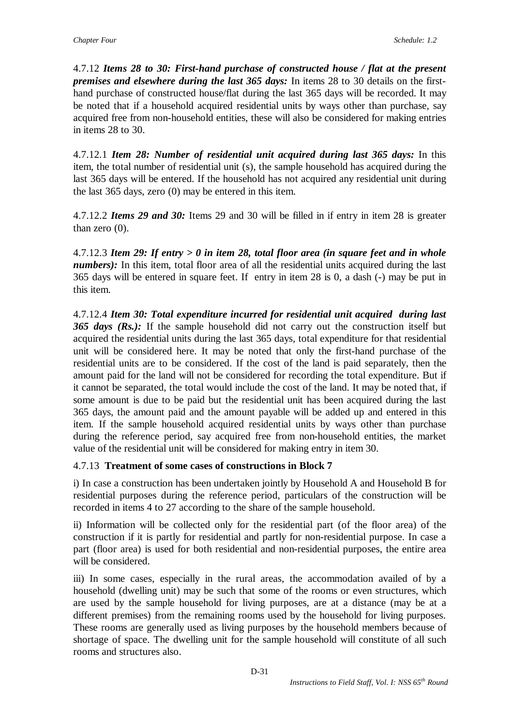4.7.12 *Items 28 to 30: First-hand purchase of constructed house / flat at the present premises and elsewhere during the last 365 days:* In items 28 to 30 details on the firsthand purchase of constructed house/flat during the last 365 days will be recorded. It may be noted that if a household acquired residential units by ways other than purchase, say acquired free from non-household entities, these will also be considered for making entries in items 28 to 30.

4.7.12.1 *Item 28: Number of residential unit acquired during last 365 days:* In this item, the total number of residential unit (s), the sample household has acquired during the last 365 days will be entered. If the household has not acquired any residential unit during the last 365 days, zero (0) may be entered in this item.

4.7.12.2 *Items 29 and 30:* Items 29 and 30 will be filled in if entry in item 28 is greater than zero  $(0)$ .

4.7.12.3 *Item 29: If entry > 0 in item 28, total floor area (in square feet and in whole numbers*): In this item, total floor area of all the residential units acquired during the last 365 days will be entered in square feet. If entry in item 28 is 0, a dash (-) may be put in this item.

4.7.12.4 *Item 30: Total expenditure incurred for residential unit acquired during last 365 days (Rs.):* If the sample household did not carry out the construction itself but acquired the residential units during the last 365 days, total expenditure for that residential unit will be considered here. It may be noted that only the first-hand purchase of the residential units are to be considered. If the cost of the land is paid separately, then the amount paid for the land will not be considered for recording the total expenditure. But if it cannot be separated, the total would include the cost of the land. It may be noted that, if some amount is due to be paid but the residential unit has been acquired during the last 365 days, the amount paid and the amount payable will be added up and entered in this item. If the sample household acquired residential units by ways other than purchase during the reference period, say acquired free from non-household entities, the market value of the residential unit will be considered for making entry in item 30.

### 4.7.13 **Treatment of some cases of constructions in Block 7**

i) In case a construction has been undertaken jointly by Household A and Household B for residential purposes during the reference period, particulars of the construction will be recorded in items 4 to 27 according to the share of the sample household.

ii) Information will be collected only for the residential part (of the floor area) of the construction if it is partly for residential and partly for non-residential purpose. In case a part (floor area) is used for both residential and non-residential purposes, the entire area will be considered.

iii) In some cases, especially in the rural areas, the accommodation availed of by a household (dwelling unit) may be such that some of the rooms or even structures, which are used by the sample household for living purposes, are at a distance (may be at a different premises) from the remaining rooms used by the household for living purposes. These rooms are generally used as living purposes by the household members because of shortage of space. The dwelling unit for the sample household will constitute of all such rooms and structures also.